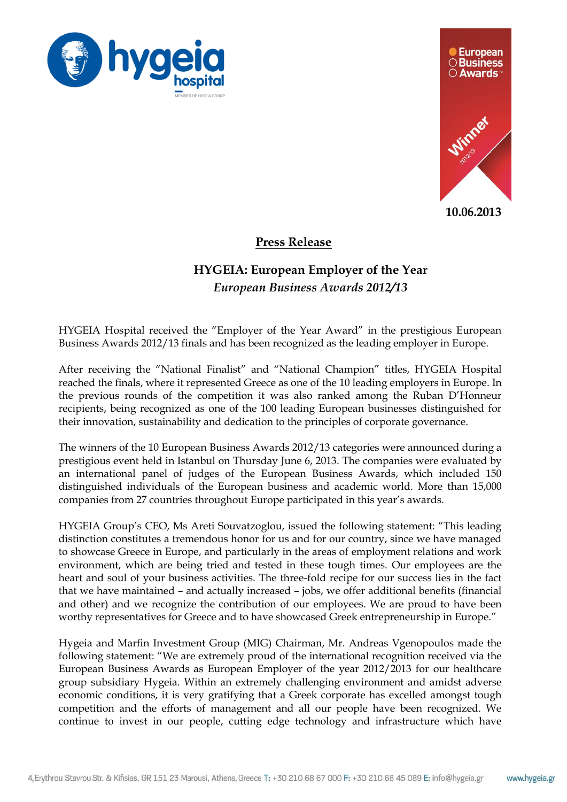



**10.06.2013**

## **Press Release**

## **HYGEIA: European Employer of the Year** *European Business Awards 2012/13*

HYGEIA Hospital received the "Employer of the Year Award" in the prestigious European Business Awards 2012/13 finals and has been recognized as the leading employer in Europe.

After receiving the "National Finalist" and "National Champion" titles, HYGEIA Hospital reached the finals, where it represented Greece as one of the 10 leading employers in Europe. In the previous rounds of the competition it was also ranked among the Ruban D'Honneur recipients, being recognized as one of the 100 leading European businesses distinguished for their innovation, sustainability and dedication to the principles of corporate governance.

The winners of the 10 European Business Awards 2012/13 categories were announced during a prestigious event held in Istanbul on Thursday June 6, 2013. The companies were evaluated by an international panel of judges of the European Business Awards, which included 150 distinguished individuals of the European business and academic world. More than 15,000 companies from 27 countries throughout Europe participated in this year's awards.

HYGEIA Group's CEO, Ms Areti Souvatzoglou, issued the following statement: "This leading distinction constitutes a tremendous honor for us and for our country, since we have managed to showcase Greece in Europe, and particularly in the areas of employment relations and work environment, which are being tried and tested in these tough times. Our employees are the heart and soul of your business activities. The three-fold recipe for our success lies in the fact that we have maintained – and actually increased – jobs, we offer additional benefits (financial and other) and we recognize the contribution of our employees. We are proud to have been worthy representatives for Greece and to have showcased Greek entrepreneurship in Europe."

Hygeia and Marfin Investment Group (MIG) Chairman, Mr. Andreas Vgenopoulos made the following statement: "We are extremely proud of the international recognition received via the European Business Awards as European Employer of the year 2012/2013 for our healthcare group subsidiary Hygeia. Within an extremely challenging environment and amidst adverse economic conditions, it is very gratifying that a Greek corporate has excelled amongst tough competition and the efforts of management and all our people have been recognized. We continue to invest in our people, cutting edge technology and infrastructure which have